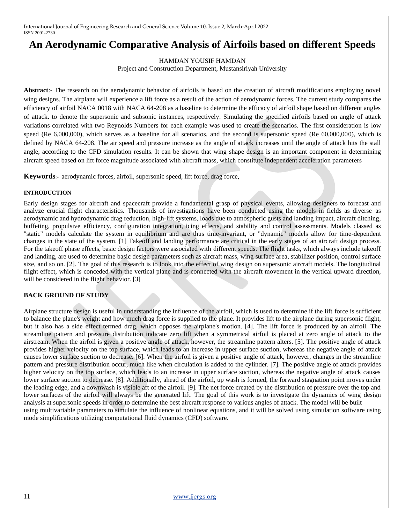# **An Aerodynamic Comparative Analysis of Airfoils based on different Speeds**

HAMDAN YOUSIF HAMDAN

Project and Construction Department, Mustansiriyah University

**Abstract**:- The research on the aerodynamic behavior of airfoils is based on the creation of aircraft modifications employing novel wing designs. The airplane will experience a lift force as a result of the action of aerodynamic forces. The current study compares the efficiency of airfoil NACA 0018 with NACA 64-208 as a baseline to determine the efficacy of airfoil shape based on different angles of attack. to denote the supersonic and subsonic instances, respectively. Simulating the specified airfoils based on angle of attack variations correlated with two Reynolds Numbers for each example was used to create the scenarios. The first consideration is low speed (Re 6,000,000), which serves as a baseline for all scenarios, and the second is supersonic speed (Re 60,000,000), which is defined by NACA 64-208. The air speed and pressure increase as the angle of attack increases until the angle of attack hits the stall angle, according to the CFD simulation results. It can be shown that wing shape design is an important component in determining aircraft speed based on lift force magnitude associated with aircraft mass, which constitute independent acceleration parameters

**Keywords**:- aerodynamic forces, airfoil, supersonic speed, lift force, drag force,

#### **INTRODUCTION**

Early design stages for aircraft and spacecraft provide a fundamental grasp of physical events, allowing designers to forecast and analyze crucial flight characteristics. Thousands of investigations have been conducted using the models in fields as diverse as aerodynamic and hydrodynamic drag reduction, high-lift systems, loads due to atmospheric gusts and landing impact, aircraft ditching, buffeting, propulsive efficiency, configuration integration, icing effects, and stability and control assessments. Models classed as "static" models calculate the system in equilibrium and are thus time-invariant, or "dynamic" models allow for time-dependent changes in the state of the system. [1] Takeoff and landing performance are critical in the early stages of an aircraft design process. For the takeoff phase effects, basic design factors were associated with different speeds. The flight tasks, which always include takeoff and landing, are used to determine basic design parameters such as aircraft mass, wing surface area, stabilizer position, control surface size, and so on. [2]. The goal of this research is to look into the effect of wing design on supersonic aircraft models. The longitudinal flight effect, which is conceded with the vertical plane and is connected with the aircraft movement in the vertical upward direction, will be considered in the flight behavior. [3]

## **BACK GROUND OF STUDY**

Airplane structure design is useful in understanding the influence of the airfoil, which is used to determine if the lift force is sufficient to balance the plane's weight and how much drag force is supplied to the plane. It provides lift to the airplane during supersonic flight, but it also has a side effect termed drag, which opposes the airplane's motion. [4]. The lift force is produced by an airfoil. The streamline pattern and pressure distribution indicate zero lift when a symmetrical airfoil is placed at zero angle of attack to the airstream. When the airfoil is given a positive angle of attack, however, the streamline pattern alters. [5]. The positive angle of attack provides higher velocity on the top surface, which leads to an increase in upper surface suction, whereas the negative angle of attack causes lower surface suction to decrease. [6]. When the airfoil is given a positive angle of attack, however, changes in the streamline pattern and pressure distribution occur, much like when circulation is added to the cylinder. [7]. The positive angle of attack provides higher velocity on the top surface, which leads to an increase in upper surface suction, whereas the negative angle of attack causes lower surface suction to decrease. [8]. Additionally, ahead of the airfoil, up wash is formed, the forward stagnation point moves under the leading edge, and a downwash is visible aft of the airfoil. [9]. The net force created by the distribution of pressure over the top and lower surfaces of the airfoil will always be the generated lift. The goal of this work is to investigate the dynamics of wing design analysis at supersonic speeds in order to determine the best aircraft response to various angles of attack. The model will be built using multivariable parameters to simulate the influence of nonlinear equations, and it will be solved using simulation software using

mode simplifications utilizing computational fluid dynamics (CFD) software.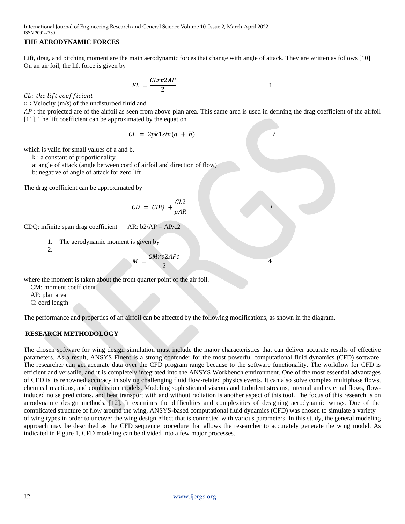## **THE AERODYNAMIC FORCES**

Lift, drag, and pitching moment are the main aerodynamic forces that change with angle of attack. They are written as follows [10] On an air foil, the lift force is given by

> $FL = \frac{CLrv2AP}{2}$ 2 1

CL: the lift coefficient

 $v:$  Velocity (m/s) of the undisturbed fluid and

AP: the projected are of the airfoil as seen from above plan area. This same area is used in defining the drag coefficient of the airfoil [11]. The lift coefficient can be approximated by the equation

 $CL = 2pk1sin(a + b)$  2

which is valid for small values of a and b.

k : a constant of proportionality

a: angle of attack (angle between cord of airfoil and direction of flow)

b: negative of angle of attack for zero lift

The drag coefficient can be approximated by

$$
CD = CDQ + \frac{CL2}{pAR}
$$
 3

CDQ: infinite span drag coefficient AR:  $b2/AP = AP/c2$ 

1. The aerodynamic moment is given by

2.

$$
1 = \frac{CMrv2APc}{2}
$$

where the moment is taken about the front quarter point of the air foil.

 $\lambda$ 

 CM: moment coefficient AP: plan area

C: cord length

The performance and properties of an airfoil can be affected by the following modifications, as shown in the diagram.

#### **RESEARCH METHODOLOGY**

The chosen software for wing design simulation must include the major characteristics that can deliver accurate results of effective parameters. As a result, ANSYS Fluent is a strong contender for the most powerful computational fluid dynamics (CFD) software. The researcher can get accurate data over the CFD program range because to the software functionality. The workflow for CFD is efficient and versatile, and it is completely integrated into the ANSYS Workbench environment. One of the most essential advantages of CED is its renowned accuracy in solving challenging fluid flow-related physics events. It can also solve complex multiphase flows, chemical reactions, and combustion models. Modeling sophisticated viscous and turbulent streams, internal and external flows, flowinduced noise predictions, and heat transport with and without radiation is another aspect of this tool. The focus of this research is on aerodynamic design methods. [12]. It examines the difficulties and complexities of designing aerodynamic wings. Due of the complicated structure of flow around the wing, ANSYS-based computational fluid dynamics (CFD) was chosen to simulate a variety of wing types in order to uncover the wing design effect that is connected with various parameters. In this study, the general modeling approach may be described as the CFD sequence procedure that allows the researcher to accurately generate the wing model. As indicated in Figure 1, CFD modeling can be divided into a few major processes.

4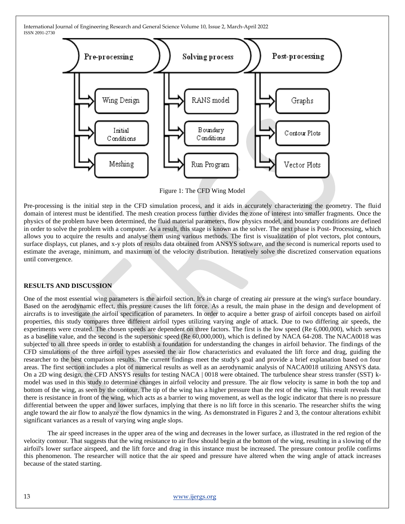

Figure 1: The CFD Wing Model

Pre-processing is the initial step in the CFD simulation process, and it aids in accurately characterizing the geometry. The fluid domain of interest must be identified. The mesh creation process further divides the zone of interest into smaller fragments. Once the physics of the problem have been determined, the fluid material parameters, flow physics model, and boundary conditions are defined in order to solve the problem with a computer. As a result, this stage is known as the solver. The next phase is Post- Processing, which allows you to acquire the results and analyse them using various methods. The first is visualization of plot vectors, plot contours, surface displays, cut planes, and x-y plots of results data obtained from ANSYS software, and the second is numerical reports used to estimate the average, minimum, and maximum of the velocity distribution. Iteratively solve the discretized conservation equations until convergence.

#### **RESULTS AND DISCUSSION**

One of the most essential wing parameters is the airfoil section. It's in charge of creating air pressure at the wing's surface boundary. Based on the aerodynamic effect, this pressure causes the lift force. As a result, the main phase in the design and development of aircrafts is to investigate the airfoil specification of parameters. In order to acquire a better grasp of airfoil concepts based on airfoil properties, this study compares three different airfoil types utilizing varying angle of attack. Due to two differing air speeds, the experiments were created. The chosen speeds are dependent on three factors. The first is the low speed (Re 6,000,000), which serves as a baseline value, and the second is the supersonic speed (Re 60,000,000), which is defined by NACA 64-208. The NACA0018 was subjected to all three speeds in order to establish a foundation for understanding the changes in airfoil behavior. The findings of the CFD simulations of the three airfoil types assessed the air flow characteristics and evaluated the lift force and drag, guiding the researcher to the best comparison results. The current findings meet the study's goal and provide a brief explanation based on four areas. The first section includes a plot of numerical results as well as an aerodynamic analysis of NACA0018 utilizing ANSYS data. On a 2D wing design, the CFD ANSYS results for testing NACA | 0018 were obtained. The turbulence shear stress transfer (SST) kmodel was used in this study to determine changes in airfoil velocity and pressure. The air flow velocity is same in both the top and bottom of the wing, as seen by the contour. The tip of the wing has a higher pressure than the rest of the wing. This result reveals that there is resistance in front of the wing, which acts as a barrier to wing movement, as well as the logic indicator that there is no pressure differential between the upper and lower surfaces, implying that there is no lift force in this scenario. The researcher shifts the wing angle toward the air flow to analyze the flow dynamics in the wing. As demonstrated in Figures 2 and 3, the contour alterations exhibit significant variances as a result of varying wing angle slops.

The air speed increases in the upper area of the wing and decreases in the lower surface, as illustrated in the red region of the velocity contour. That suggests that the wing resistance to air flow should begin at the bottom of the wing, resulting in a slowing of the airfoil's lower surface airspeed, and the lift force and drag in this instance must be increased. The pressure contour profile confirms this phenomenon. The researcher will notice that the air speed and pressure have altered when the wing angle of attack increases because of the stated starting.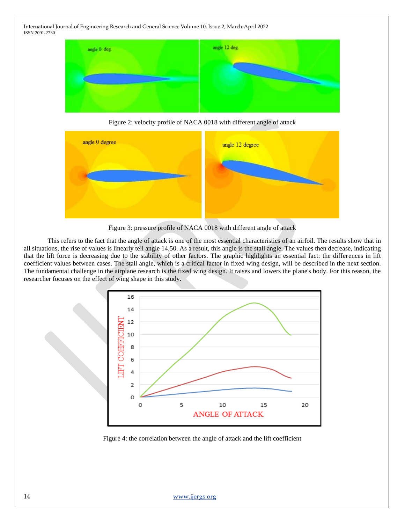

Figure 2: velocity profile of NACA 0018 with different angle of attack



Figure 3: pressure profile of NACA 0018 with different angle of attack

This refers to the fact that the angle of attack is one of the most essential characteristics of an airfoil. The results show that in all situations, the rise of values is linearly tell angle 14.50. As a result, this angle is the stall angle. The values then decrease, indicating that the lift force is decreasing due to the stability of other factors. The graphic highlights an essential fact: the differences in lift coefficient values between cases. The stall angle, which is a critical factor in fixed wing design, will be described in the next section. The fundamental challenge in the airplane research is the fixed wing design. It raises and lowers the plane's body. For this reason, the researcher focuses on the effect of wing shape in this study.



Figure 4: the correlation between the angle of attack and the lift coefficient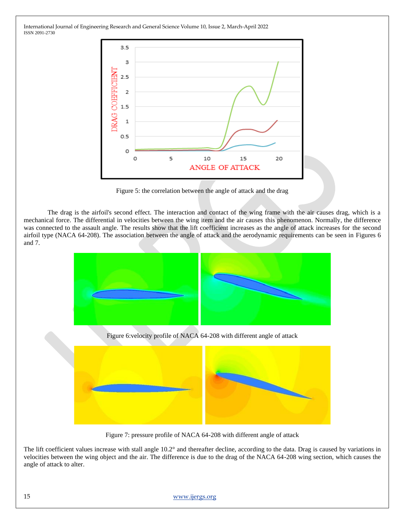

Figure 5: the correlation between the angle of attack and the drag

The drag is the airfoil's second effect. The interaction and contact of the wing frame with the air causes drag, which is a mechanical force. The differential in velocities between the wing item and the air causes this phenomenon. Normally, the difference was connected to the assault angle. The results show that the lift coefficient increases as the angle of attack increases for the second airfoil type (NACA 64-208). The association between the angle of attack and the aerodynamic requirements can be seen in Figures 6 and 7.



Figure 6:velocity profile of NACA 64-208 with different angle of attack



Figure 7: pressure profile of NACA 64-208 with different angle of attack

The lift coefficient values increase with stall angle 10.2° and thereafter decline, according to the data. Drag is caused by variations in velocities between the wing object and the air. The difference is due to the drag of the NACA 64-208 wing section, which causes the angle of attack to alter.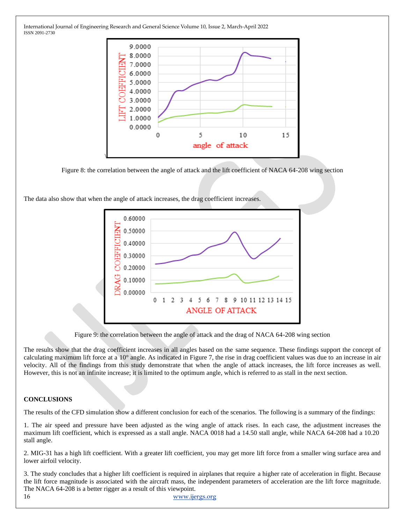

Figure 8: the correlation between the angle of attack and the lift coefficient of NACA 64-208 wing section

The data also show that when the angle of attack increases, the drag coefficient increases.



Figure 9: the correlation between the angle of attack and the drag of NACA 64-208 wing section

The results show that the drag coefficient increases in all angles based on the same sequence. These findings support the concept of calculating maximum lift force at a 10° angle. As indicated in Figure 7, the rise in drag coefficient values was due to an increase in air velocity. All of the findings from this study demonstrate that when the angle of attack increases, the lift force increases as well. However, this is not an infinite increase; it is limited to the optimum angle, which is referred to as stall in the next section.

# **CONCLUSIONS**

The results of the CFD simulation show a different conclusion for each of the scenarios. The following is a summary of the findings:

1. The air speed and pressure have been adjusted as the wing angle of attack rises. In each case, the adjustment increases the maximum lift coefficient, which is expressed as a stall angle. NACA 0018 had a 14.50 stall angle, while NACA 64-208 had a 10.20 stall angle.

2. MIG-31 has a high lift coefficient. With a greater lift coefficient, you may get more lift force from a smaller wing surface area and lower airfoil velocity.

16 [www.ijergs.org](http://www.ijergs.org/) 3. The study concludes that a higher lift coefficient is required in airplanes that require a higher rate of acceleration in flight. Because the lift force magnitude is associated with the aircraft mass, the independent parameters of acceleration are the lift force magnitude. The NACA 64-208 is a better rigger as a result of this viewpoint.